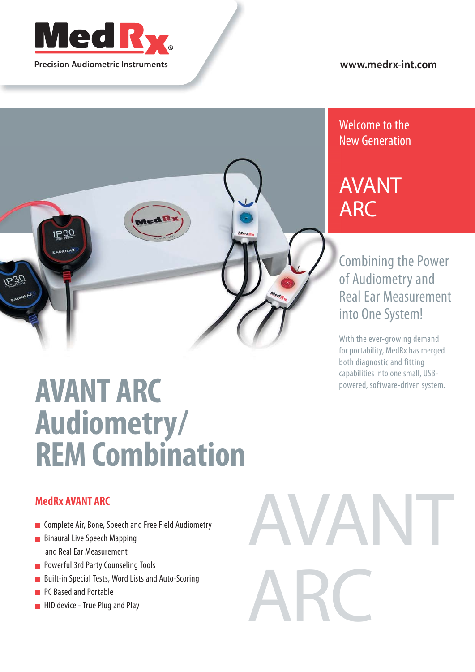

**Precision Audiometric Instruments**

#### **www.medrx-int.com**



# **AVANT ARC Audiometry/ REM Combination**

#### **MedRx AVANT ARC**

- **EX Complete Air, Bone, Speech and Free Field Audiometry**
- **Binaural Live Speech Mapping** and Real Ear Measurement
- **Powerful 3rd Party Counseling Tools**
- **Built-in Special Tests, Word Lists and Auto-Scoring**
- PC Based and Portable
- **HID device True Plug and Play**



### Welcome to the New Generation

## AVANT ARC

Combining the Power of Audiometry and Real Ear Measurement into One System!

With the ever-growing demand for portability, MedRx has merged both diagnostic and fitting capabilities into one small, USBpowered, software-driven system.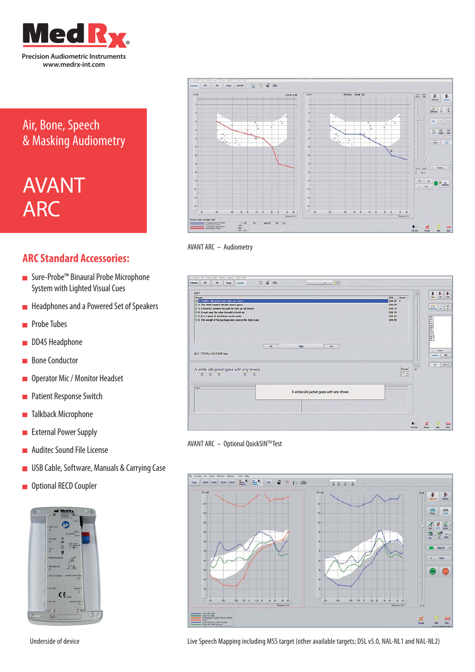

### Air, Bone, Speech & Masking Audiometry

## AVANT ARC

#### **ARC Standard Accessories:**

- Sure-Probe™ Binaural Probe Microphone System with Lighted Visual Cues
- **Headphones and a Powered Set of Speakers**
- **Probe Tubes**
- DD45 Headphone
- Bone Conductor Ē
- **Operator Mic / Monitor Headset**
- **Patient Response Switch**
- **Talkback Microphone**
- **External Power Supply**
- Auditec Sound File License Ē
- **USB Cable, Software, Manuals & Carrying Case**
- **Optional RECD Coupler**



Underside of device







AVANT ARC – Optional QuickSINTM Test



Live Speech Mapping including MSS target (other available targets; DSL v5.0, NAL-NL1 and NAL-NL2)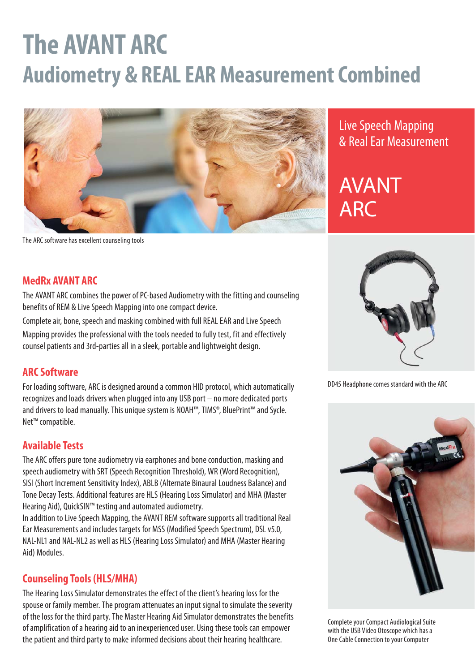# **The AVANT ARC Audiometry & REAL EAR Measurement Combined**



### Live Speech Mapping & Real Ear Measurement

## AVANT ARC

The ARC software has excellent counseling tools

#### **MedRx AVANT ARC**

The AVANT ARC combines the power of PC-based Audiometry with the fitting and counseling benefits of REM & Live Speech Mapping into one compact device.

Complete air, bone, speech and masking combined with full REAL EAR and Live Speech Mapping provides the professional with the tools needed to fully test, fit and effectively counsel patients and 3rd-parties all in a sleek, portable and lightweight design.

#### **ARC Software**

For loading software, ARC is designed around a common HID protocol, which automatically recognizes and loads drivers when plugged into any USB port – no more dedicated ports and drivers to load manually. This unique system is NOAH™, TIMS®, BluePrint™ and Sycle. Net™ compatible.

#### **Available Tests**

The ARC offers pure tone audiometry via earphones and bone conduction, masking and speech audiometry with SRT (Speech Recognition Threshold), WR (Word Recognition), SISI (Short Increment Sensitivity Index), ABLB (Alternate Binaural Loudness Balance) and Tone Decay Tests. Additional features are HLS (Hearing Loss Simulator) and MHA (Master Hearing Aid), QuickSIN™ testing and automated audiometry.

In addition to Live Speech Mapping, the AVANT REM software supports all traditional Real Ear Measurements and includes targets for MSS (Modified Speech Spectrum), DSL v5.0, NAL-NL1 and NAL-NL2 as well as HLS (Hearing Loss Simulator) and MHA (Master Hearing Aid) Modules.

#### **Counseling Tools (HLS/MHA)**

The Hearing Loss Simulator demonstrates the effect of the client's hearing loss for the spouse or family member. The program attenuates an input signal to simulate the severity of the loss for the third party. The Master Hearing Aid Simulator demonstrates the benefits of amplification of a hearing aid to an inexperienced user. Using these tools can empower the patient and third party to make informed decisions about their hearing healthcare.



DD45 Headphone comes standard with the ARC



Complete your Compact Audiological Suite with the USB Video Otoscope which has a One Cable Connection to your Computer